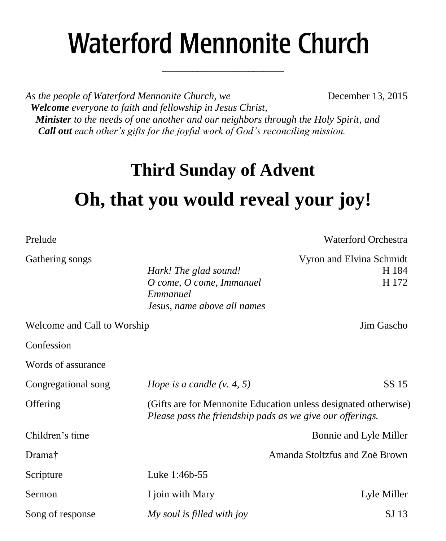# **Waterford Mennonite Church**

\_\_\_\_\_\_\_\_\_\_\_\_\_\_\_\_\_\_\_\_\_\_\_\_

*As the people of Waterford Mennonite Church, we* **December 13, 2015**  *Welcome everyone to faith and fellowship in Jesus Christ, Minister to the needs of one another and our neighbors through the Holy Spirit, and Call out each other's gifts for the joyful work of God's reconciling mission.*

### **Third Sunday of Advent**

## **Oh, that you would reveal your joy!**

| Prelude                     |                                                                                                                              | Waterford Orchestra                        |  |
|-----------------------------|------------------------------------------------------------------------------------------------------------------------------|--------------------------------------------|--|
| Gathering songs             | Hark! The glad sound!<br>O come, O come, Immanuel<br>Emmanuel<br>Jesus, name above all names                                 | Vyron and Elvina Schmidt<br>H 184<br>H 172 |  |
| Welcome and Call to Worship |                                                                                                                              | Jim Gascho                                 |  |
| Confession                  |                                                                                                                              |                                            |  |
| Words of assurance          |                                                                                                                              |                                            |  |
| Congregational song         | <i>Hope is a candle <math>(v. 4, 5)</math></i>                                                                               | SS 15                                      |  |
| Offering                    | (Gifts are for Mennonite Education unless designated otherwise)<br>Please pass the friendship pads as we give our offerings. |                                            |  |
| Children's time             |                                                                                                                              | Bonnie and Lyle Miller                     |  |
| Drama <sup>†</sup>          |                                                                                                                              | Amanda Stoltzfus and Zoë Brown             |  |
| Scripture                   | Luke 1:46b-55                                                                                                                |                                            |  |
| Sermon                      | I join with Mary                                                                                                             | Lyle Miller                                |  |
| Song of response            | My soul is filled with joy                                                                                                   | SJ 13                                      |  |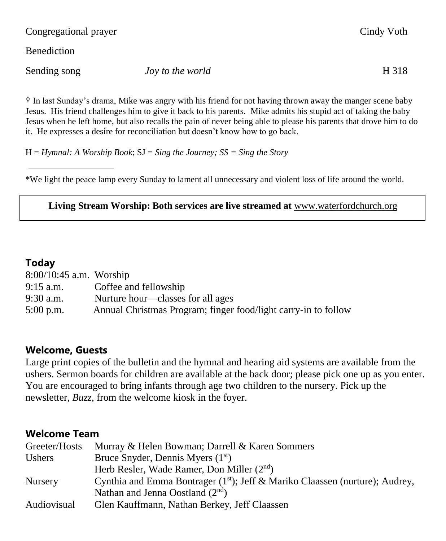Congregational prayer Cindy Voth

**Benediction** 

Sending song *Joy to the world* H 318

† In last Sunday's drama, Mike was angry with his friend for not having thrown away the manger scene baby Jesus. His friend challenges him to give it back to his parents. Mike admits his stupid act of taking the baby Jesus when he left home, but also recalls the pain of never being able to please his parents that drove him to do it. He expresses a desire for reconciliation but doesn't know how to go back.

H = *Hymnal: A Worship Book*; SJ = *Sing the Journey; SS = Sing the Story*

\*We light the peace lamp every Sunday to lament all unnecessary and violent loss of life around the world.

#### **Living Stream Worship: Both services are live streamed at** [www.waterfordchurch.org](http://www.waterfordchurch.org/)

#### **Today**

| $8:00/10:45$ a.m. Worship |                                                                |
|---------------------------|----------------------------------------------------------------|
| $9:15$ a.m.               | Coffee and fellowship                                          |
| $9:30$ a.m.               | Nurture hour—classes for all ages                              |
| $5:00$ p.m.               | Annual Christmas Program; finger food/light carry-in to follow |

#### **Welcome, Guests**

Large print copies of the bulletin and the hymnal and hearing aid systems are available from the ushers. Sermon boards for children are available at the back door; please pick one up as you enter. You are encouraged to bring infants through age two children to the nursery. Pick up the newsletter, *Buzz,* from the welcome kiosk in the foyer.

#### **Welcome Team**

| Greeter/Hosts  | Murray & Helen Bowman; Darrell & Karen Sommers                                  |
|----------------|---------------------------------------------------------------------------------|
| Ushers         | Bruce Snyder, Dennis Myers $(1st)$                                              |
|                | Herb Resler, Wade Ramer, Don Miller $(2nd)$                                     |
| <b>Nursery</b> | Cynthia and Emma Bontrager ( $1st$ ); Jeff & Mariko Claassen (nurture); Audrey, |
|                | Nathan and Jenna Oostland $(2^{nd})$                                            |
| Audiovisual    | Glen Kauffmann, Nathan Berkey, Jeff Claassen                                    |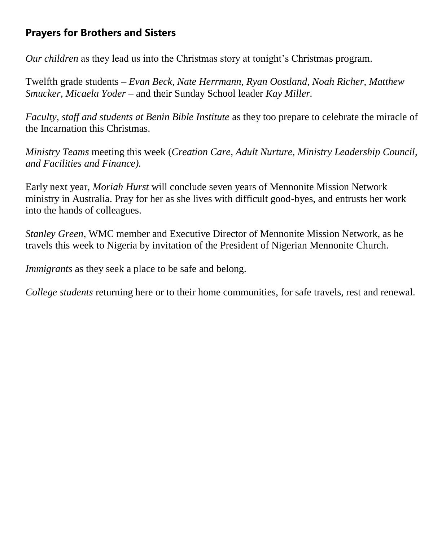#### **Prayers for Brothers and Sisters**

*Our children* as they lead us into the Christmas story at tonight's Christmas program.

Twelfth grade students *– Evan Beck, Nate Herrmann, Ryan Oostland, Noah Richer, Matthew Smucker, Micaela Yoder –* and their Sunday School leader *Kay Miller.* 

*Faculty, staff and students at Benin Bible Institute* as they too prepare to celebrate the miracle of the Incarnation this Christmas.

*Ministry Teams* meeting this week (*Creation Care, Adult Nurture, Ministry Leadership Council, and Facilities and Finance).*

Early next year, *Moriah Hurst* will conclude seven years of Mennonite Mission Network ministry in Australia. Pray for her as she lives with difficult good-byes, and entrusts her work into the hands of colleagues.

*Stanley Green*, WMC member and Executive Director of Mennonite Mission Network, as he travels this week to Nigeria by invitation of the President of Nigerian Mennonite Church.

*Immigrants* as they seek a place to be safe and belong.

*College students* returning here or to their home communities, for safe travels, rest and renewal.